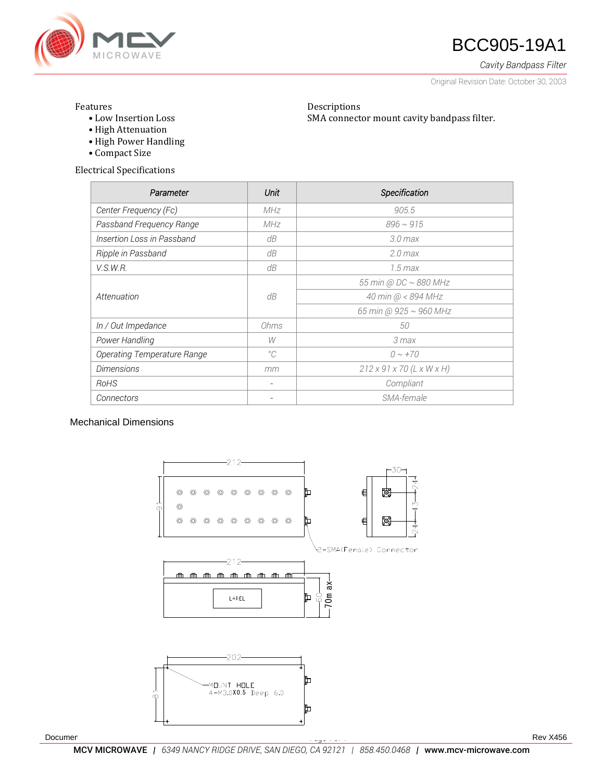

# **ANGROWAVE BCC905-19A1**

*Cavity Bandpass Filter*

Original Revision Date: October 30, 2003

### Features

• Low Insertion Loss

Descriptions SMA connector mount cavity bandpass filter.

- High Attenuation
- High Power Handling
- Compact Size

Electrical Specifications

| Parameter                   | Unit        | Specification                         |
|-----------------------------|-------------|---------------------------------------|
| Center Frequency (Fc)       | MHz         | 905.5                                 |
| Passband Frequency Range    | MHz         | $896 \sim 915$                        |
| Insertion Loss in Passband  | dB          | 3.0 <sub>max</sub>                    |
| Ripple in Passband          | dB          | $2.0$ max                             |
| V.S.W.R.                    | dB          | $1.5 \, max$                          |
| Attenuation                 | dB          | 55 min @ DC ~ 880 MHz                 |
|                             |             | 40 min @ < 894 MHz                    |
|                             |             | 65 min @ 925 ~ 960 MHz                |
| In / Out Impedance          | Ohms        | 50                                    |
| Power Handling              | W           | 3 max                                 |
| Operating Temperature Range | $^{\circ}C$ | $0 \sim +70$                          |
| <b>Dimensions</b>           | mm          | $212 \times 91 \times 70$ (L x W x H) |
| RoHS                        |             | Compliant                             |
| Connectors                  |             | SMA-female                            |

## Mechanical Dimensions



Document No. 008-0256-0 *Page 1 of 4* Rev X456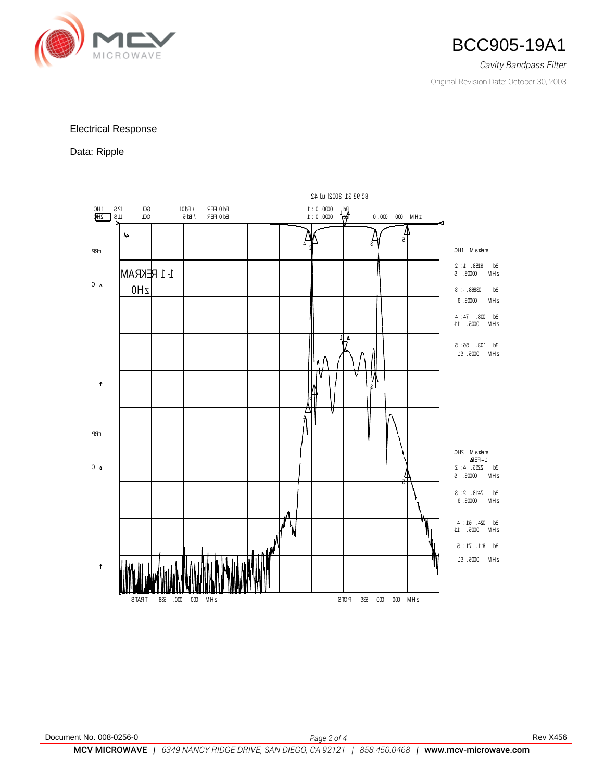

*Cavity Bandpass Filter*

Original Revision Date: October 30, 2003

### Electrical Response

Data: Ripple

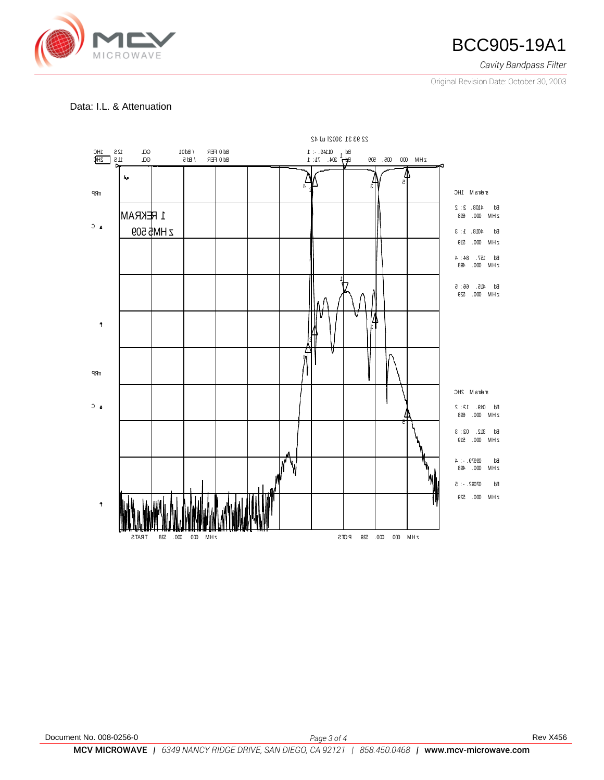

*Cavity Bandpass Filter*

Original Revision Date: October 30, 2003

# Data: I.L. & Attenuation